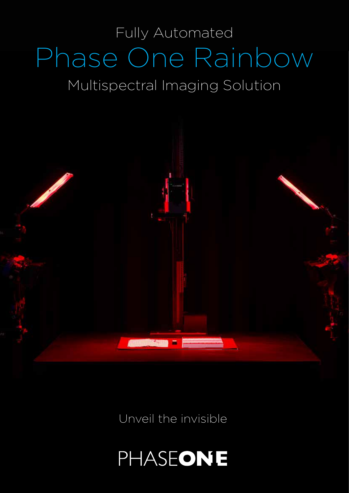# Phase One Rainbow Multispectral Imaging Solution Fully Automated



Unveil the invisible

# PHASEONE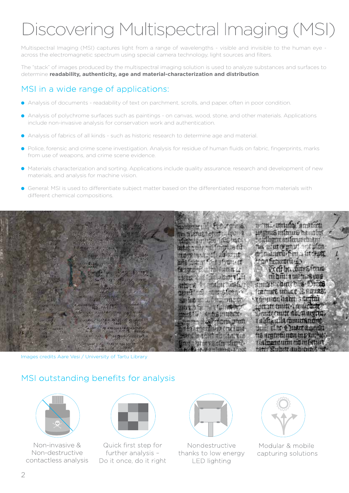# Discovering Multispectral Imaging (MSI)

Multispectral Imaging (MSI) captures light from a range of wavelengths - visible and invisible to the human eye across the electromagnetic spectrum using special camera technology, light sources and filters.

The "stack" of images produced by the multispectral imaging solution is used to analyze substances and surfaces to determine **readability, authenticity, age and material-characterization and distribution**.

## MSI in a wide range of applications:

- Analysis of documents readability of text on parchment, scrolls, and paper, often in poor condition.
- Analysis of polychrome surfaces such as paintings on canvas, wood, stone, and other materials. Applications include non-invasive analysis for conservation work and authentication.
- Analysis of fabrics of all kinds such as historic research to determine age and material.
- Police, forensic and crime scene investigation. Analysis for residue of human fluids on fabric, fingerprints, marks from use of weapons, and crime scene evidence.
- Materials characterization and sorting. Applications include quality assurance, research and development of new materials, and analysis for machine vision.
- General: MSI is used to differentiate subject matter based on the differentiated response from materials with different chemical compositions.



Images credits Aare Vesi / University of Tartu Library

#### MSI outstanding benefits for analysis



Non-invasive & Non-destructive contactless analysis



Quick first step for further analysis -Do it once, do it right



Nondestructive thanks to low energy **LED** lighting



Modular & mobile capturing solutions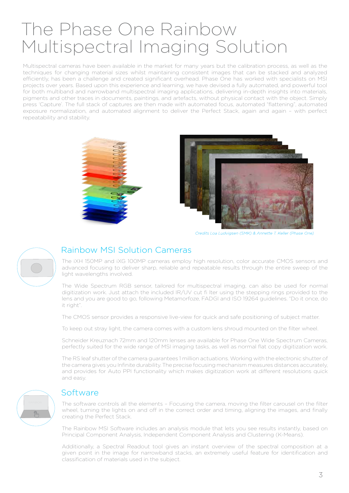# The Phase One Rainbow Multispectral Imaging Solution

Multispectral cameras have been available in the market for many years but the calibration process, as well as the techniques for changing material sizes whilst maintaining consistent images that can be stacked and analyzed efficiently, has been a challenge and created significant overhead. Phase One has worked with specialists on MSI projects over years. Based upon this experience and learning, we have devised a fully automated, and powerful tool for both multiband and narrowband multispectral imaging applications, delivering in-depth insights into materials, pigments and other traces in documents, paintings, and artefacts, without physical contact with the object. Simply press 'Capture'. The full stack of captures are then made with automated focus, automated "flattening", automated exposure normalization, and automated alignment to deliver the Perfect Stack, again and again – with perfect repeatability and stability.





Credits Loa Ludvigsen (SMK) & Annette T. Keller (Phase One)



#### Rainbow MSI Solution Cameras

The iXH 150MP and iXG 100MP cameras employ high resolution, color accurate CMOS sensors and advanced focusing to deliver sharp, reliable and repeatable results through the entire sweep of the light wavelengths involved.

The Wide Spectrum RGB sensor, tailored for multispectral imaging, can also be used for normal digitization work. Just attach the included IR/UV cut fi lter using the stepping rings provided to the lens and you are good to go, following Metamorfoze, FADGI and ISO 19264 guidelines. "Do it once, do it right".

The CMOS sensor provides a responsive live-view for quick and safe positioning of subject matter.

To keep out stray light, the camera comes with a custom lens shroud mounted on the filter wheel.

Schneider Kreuznach 72mm and 120mm lenses are available for Phase One Wide Spectrum Cameras, perfectly suited for the wide range of MSI imaging tasks, as well as normal flat copy digitization work.

The RS leaf shutter of the camera guarantees 1 million actuations. Working with the electronic shutter of the camera gives you Infinite durability. The precise focusing mechanism measures distances accurately, and provides for Auto PPI functionality which makes digitization work at different resolutions quick and easy.



#### **Software**

The software controls all the elements - Focusing the camera, moving the filter carousel on the filter wheel, turning the lights on and off in the correct order and timing, aligning the images, and finally creating the Perfect Stack.

The Rainbow MSI Software includes an analysis module that lets you see results instantly, based on Principal Component Analysis, Independent Component Analysis and Clustering (K-Means).

Additionally, a Spectral Readout tool gives an instant overview of the spectral composition at a given point in the image for narrowband stacks, an extremely useful feature for identification and classification of materials used in the subject.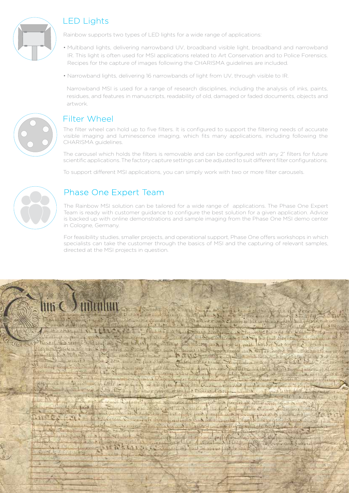

## LED Lights

Rainbow supports two types of LED lights for a wide range of applications:

- Multiband lights, delivering narrowband UV, broadband visible light, broadband and narrowband IR. This light is often used for MSI applications related to Art Conservation and to Police Forensics. Recipes for the capture of images following the CHARISMA guidelines are included.
- Narrowband lights, delivering 16 narrowbands of light from UV, through visible to IR.

Narrowband MSI is used for a range of research disciplines, including the analysis of inks, paints, residues, and features in manuscripts, readability of old, damaged or faded documents, objects and artwork.



#### Filter Wheel

The filter wheel can hold up to five filters. It is configured to support the filtering needs of accurate visible imaging and luminescence imaging, which fits many applications, including following the CHARISMA guidelines.

The carousel which holds the filters is removable and can be configured with any 2" filters for future scientific applications. The factory capture settings can be adjusted to suit different filter configurations.

To support different MSI applications, you can simply work with two or more filter carousels.



## Phase One Expert Team

The Rainbow MSI solution can be tailored for a wide range of applications. The Phase One Expert Team is ready with customer guidance to configure the best solution for a given application. Advice is backed up with online demonstrations and sample imaging from the Phase One MSI demo center in Cologne, Germany.

For feasibility studies, smaller projects, and operational support, Phase One offers workshops in which specialists can take the customer through the basics of MSI and the capturing of relevant samples, directed at the MSI projects in question.

LAI HOLL

L'Anno

off to the same street of the state of the same of the street Darland Decive four  $1.8 - 10.7$ take and west -Firing Lab of the charmed the strong simple and signified to with the Co. in the other points **ALIZONIA** thirty a period of moderate the sample of the sta Travel the count which they Morris Court is the tors of the a state Synon Fauls and for the mond than the Local Corps James **CITY TO**  $\theta = 46$  primit by who carn under the charless. Showing out thing that is made a factor - LA Allning theme 7 Beington are of warned 11 mars of duples in Subtistic all 12 1010-The three all of the Claim all mind of with first futury Smith Lasty att, Jummy lote and well is bound by the office of the state of the Country of the state was the Basic the police www. - 3. File Harring Ho alter Schools of the land Streams Emorgan al The Bally De Thursday 副线 ous all teams leaf not papers transieurs allers requise in a prodes as collection and the filed blog and seminary of the fire fungt full might letters Leve the computer compartment had all offerential rupts inter and of most function any of minute hander

**Newcharles** 

**STERNE** 

**CAPITA** 

weit with in Halvis a station  $u = 1$  ,  $\alpha$  ,  $d$ **Common DEW ATRALISCO** forsal ins faither move friends ents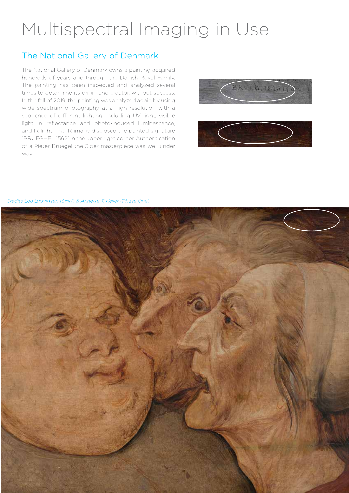# Multispectral Imaging in Use

## The National Gallery of Denmark

The National Gallery of Denmark owns a painting acquired hundreds of years ago through the Danish Royal Family. The painting has been inspected and analyzed several times to determine its origin and creator, without success. In the fall of 2019, the painting was analyzed again by using wide spectrum photography at a high resolution with a sequence of different lighting, including UV light, visible light in reflectance and photo-induced luminescence, and IR light. The IR image disclosed the painted signature "BRUEGHEL 1562" in the upper right corner. Authentication of a Pieter Bruegel the Older masterpiece was well under way.





Credits Loa Ludvigsen (SMK) & Annette T. Keller (Phase One)

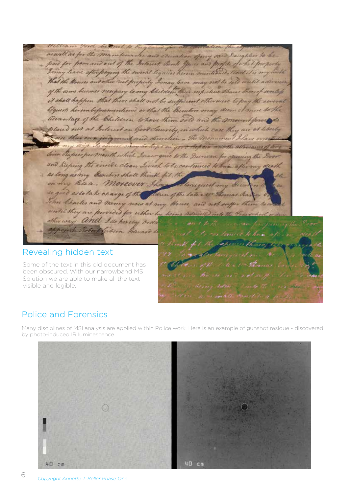Ford be trut to En as well as for the maintenance and acception of my said Daughters to be paid for from and out of the Interest, Rents yours and profits of what I may leave after forging the sword lequies herein mentioned - and it is my that the Houses and other real properly Imay love may not be sell until adie of the same becomes necepary to any Children their respective Shares thereof it shall happen that there shall not be sufficient otherwise to pay the bequests herembeforementioned or that the Executors may dem it m advantage of the Children to have them sold and the mount force placed out at Interest on Good Security, in which case they are at liberty use their own judgment and direction - The momentual Share at in good depair whethe allowance of the Sico Rapees per month which Inc w que to the Durwan for opening the Doo and keeping the invite clean Iwish to be continued to him after my dead as long as my creation shall think be on my Estate. Moreover Though Clonequest my deer se good as to take charge of the Moren of the late Av. Thomas Bar John Charles and Mancy now at my House and not suffer them until they are provided for when by being admitted into the President of other way - and I do hereby orda roont Rebect Gibson Edward

#### Revealing hidden text

Some of the text in this old document has been obscured. With our narrowband MSI Solution we are able to make all the text visible and legible.

## Police and Forensics

Many disciplines of MSI analysis are applied within Police work. Here is an example of gunshot residue - discovered by photo-induced IR Iuminescence.

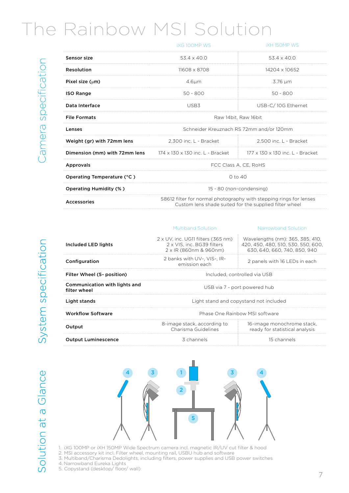# The Rainbow MSI Solution

|                               | <b>IXG100MP WS</b>                                                                                                           | <b>IXH 150MP WS</b>              |  |
|-------------------------------|------------------------------------------------------------------------------------------------------------------------------|----------------------------------|--|
| Sensor size                   | $53.4 \times 40.0$                                                                                                           | $53.4 \times 40.0$               |  |
| Resolution                    | 11608 x 8708                                                                                                                 | 14204 x 10652                    |  |
| Pixel size $(\mu m)$          | 4.6 <sub>µ</sub>                                                                                                             | 3.76 µm                          |  |
| <b>ISO Range</b>              | $50 - 800$                                                                                                                   | $50 - 800$                       |  |
| Data Interface                | USB3                                                                                                                         | USB-C/10G Ethernet               |  |
| <b>File Formats</b>           | Raw 14bit, Raw 16bit                                                                                                         |                                  |  |
| Lenses                        | Schneider Kreuznach RS 72mm and/or 120mm                                                                                     |                                  |  |
| Weight (gr) with 72mm lens    | 2.300 inc. L - Bracket                                                                                                       | 2.500 inc. L - Bracket           |  |
| Dimension (mm) with 72mm lens | – 174 x 130 x 130 inc. L - Bracket                                                                                           | 177 x 130 x 130 inc. L - Bracket |  |
| Approvals                     | FCC Class A. CE. RoHS                                                                                                        |                                  |  |
| Operating Temperature (°C)    | $0$ to $40$                                                                                                                  |                                  |  |
| <b>Operating Humidity (%)</b> | 15 - 80 (non-condensing)                                                                                                     |                                  |  |
| Accessories                   | S8612 filter for normal photography with stepping rings for lenses<br>Custom lens shade suited for the supplied filter wheel |                                  |  |
|                               |                                                                                                                              |                                  |  |

# System specification

| Included LED lights                           | $2 \times UV$ . inc. UG11 filters (365 nm)<br>2 x VIS. inc. BG39 filters<br>2 x IR (860nm & 960nm) | Wavelengths (nm): 365, 385, 410,<br>420, 450, 480, 510, 530, 550, 600,<br>630, 640, 660, 740, 850, 940 |
|-----------------------------------------------|----------------------------------------------------------------------------------------------------|--------------------------------------------------------------------------------------------------------|
| Configuration                                 | 2 banks with UV-. VIS-. IR-<br>emission each                                                       | 2 panels with 16 LEDs in each                                                                          |
| Filter Wheel (5- position)                    | Included, controlled via USB                                                                       |                                                                                                        |
| Communication with lights and<br>filter wheel | USB via 7 - port powered hub                                                                       |                                                                                                        |
| Light stands                                  | Light stand and copystand not included                                                             |                                                                                                        |
| <b>Workflow Software</b>                      | Phase One Rainbow MSI software                                                                     |                                                                                                        |
| Output                                        | 8-image stack, according to<br>Charisma Guidelines                                                 | 16-image monochrome stack,<br>ready for statistical analysis                                           |
|                                               |                                                                                                    |                                                                                                        |

Multiband Solution Narrowband Solution



**Output Luminescence** 2 channels 15 channels 15 channels

1. iXG 100MP or iXH 150MP Wide Spectrum camera incl. magnetic IR/UV cut filter & hood

2. MSI accessory kit incl. Filter wheel, mounting rail, USBU hub and software

3. Multiband/Charisma Dedolights, including filters, power supplies and USB power switches 4. Narrowband Eureka Lights

5. Copystand (desktop/ floor/ wall)